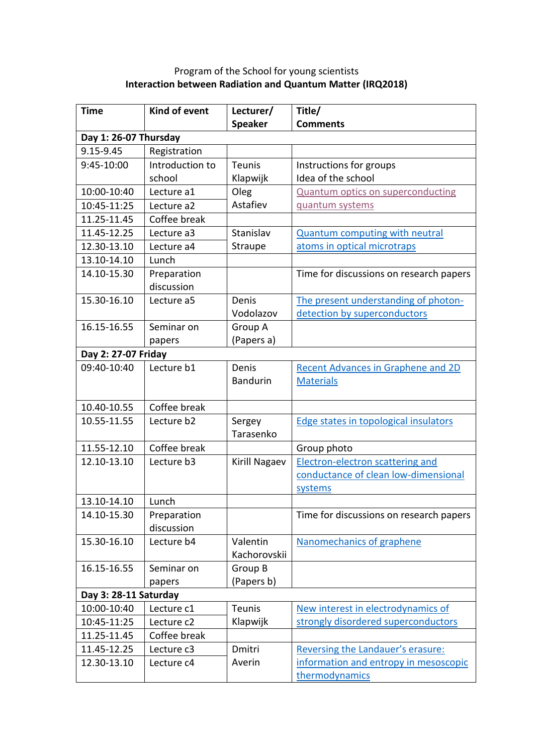## Program of the School for young scientists **Interaction between Radiation and Quantum Matter (IRQ2018)**

| <b>Time</b>           | Kind of event   | Lecturer/       | Title/                                    |  |  |
|-----------------------|-----------------|-----------------|-------------------------------------------|--|--|
|                       |                 | <b>Speaker</b>  | <b>Comments</b>                           |  |  |
| Day 1: 26-07 Thursday |                 |                 |                                           |  |  |
| 9.15-9.45             | Registration    |                 |                                           |  |  |
| 9:45-10:00            | Introduction to | <b>Teunis</b>   | Instructions for groups                   |  |  |
|                       | school          | Klapwijk        | Idea of the school                        |  |  |
| 10:00-10:40           | Lecture a1      | Oleg            | <b>Quantum optics on superconducting</b>  |  |  |
| 10:45-11:25           | Lecture a2      | Astafiev        | quantum systems                           |  |  |
| 11.25-11.45           | Coffee break    |                 |                                           |  |  |
| 11.45-12.25           | Lecture a3      | Stanislav       | <b>Quantum computing with neutral</b>     |  |  |
| 12.30-13.10           | Lecture a4      | Straupe         | atoms in optical microtraps               |  |  |
| 13.10-14.10           | Lunch           |                 |                                           |  |  |
| 14.10-15.30           | Preparation     |                 | Time for discussions on research papers   |  |  |
|                       | discussion      |                 |                                           |  |  |
| 15.30-16.10           | Lecture a5      | Denis           | The present understanding of photon-      |  |  |
|                       |                 | Vodolazov       | detection by superconductors              |  |  |
| 16.15-16.55           | Seminar on      | Group A         |                                           |  |  |
|                       | papers          | (Papers a)      |                                           |  |  |
| Day 2: 27-07 Friday   |                 |                 |                                           |  |  |
| 09:40-10:40           | Lecture b1      | Denis           | <b>Recent Advances in Graphene and 2D</b> |  |  |
|                       |                 | <b>Bandurin</b> | <b>Materials</b>                          |  |  |
|                       |                 |                 |                                           |  |  |
| 10.40-10.55           | Coffee break    |                 |                                           |  |  |
| 10.55-11.55           | Lecture b2      | Sergey          | Edge states in topological insulators     |  |  |
|                       |                 | Tarasenko       |                                           |  |  |
| 11.55-12.10           | Coffee break    |                 | Group photo                               |  |  |
| 12.10-13.10           | Lecture b3      | Kirill Nagaev   | <b>Electron-electron scattering and</b>   |  |  |
|                       |                 |                 | conductance of clean low-dimensional      |  |  |
|                       |                 |                 | systems                                   |  |  |
| 13.10-14.10           | Lunch           |                 |                                           |  |  |
| 14.10-15.30           | Preparation     |                 | Time for discussions on research papers   |  |  |
|                       | discussion      |                 |                                           |  |  |
| 15.30-16.10           | Lecture b4      | Valentin        | Nanomechanics of graphene                 |  |  |
|                       |                 | Kachorovskii    |                                           |  |  |
| 16.15-16.55           | Seminar on      | Group B         |                                           |  |  |
|                       | papers          | (Papers b)      |                                           |  |  |
| Day 3: 28-11 Saturday |                 |                 |                                           |  |  |
| 10:00-10:40           | Lecture c1      | <b>Teunis</b>   | New interest in electrodynamics of        |  |  |
| 10:45-11:25           | Lecture c2      | Klapwijk        | strongly disordered superconductors       |  |  |
| 11.25-11.45           | Coffee break    |                 |                                           |  |  |
| 11.45-12.25           | Lecture c3      | Dmitri          | Reversing the Landauer's erasure:         |  |  |
| 12.30-13.10           | Lecture c4      | Averin          | information and entropy in mesoscopic     |  |  |
|                       |                 |                 | thermodynamics                            |  |  |